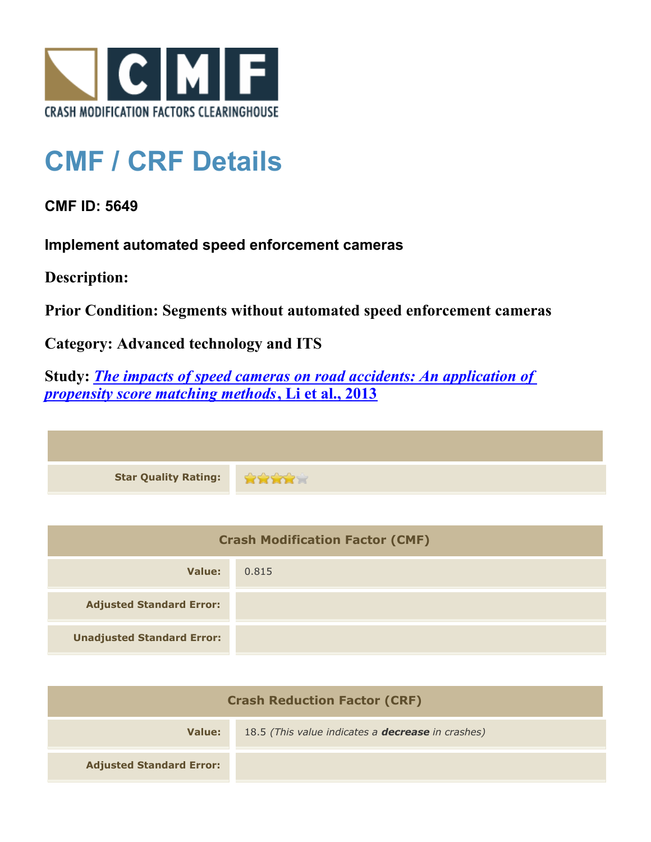

## **CMF / CRF Details**

## **CMF ID: 5649**

**Implement automated speed enforcement cameras**

**Description:** 

**Prior Condition: Segments without automated speed enforcement cameras**

**Category: Advanced technology and ITS**

**Study:** *[The impacts of speed cameras on road accidents: An application of](http://cmfclearinghouse.com/study_detail.cfm?stid=384) [propensity score matching methods](http://cmfclearinghouse.com/study_detail.cfm?stid=384)***[, Li et al., 2013](http://cmfclearinghouse.com/study_detail.cfm?stid=384)**

| Star Quality Rating: 2002 |  |
|---------------------------|--|

| <b>Crash Modification Factor (CMF)</b> |       |
|----------------------------------------|-------|
| Value:                                 | 0.815 |
| <b>Adjusted Standard Error:</b>        |       |
| <b>Unadjusted Standard Error:</b>      |       |

| <b>Crash Reduction Factor (CRF)</b> |                                                          |
|-------------------------------------|----------------------------------------------------------|
| Value:                              | 18.5 (This value indicates a <b>decrease</b> in crashes) |
| <b>Adjusted Standard Error:</b>     |                                                          |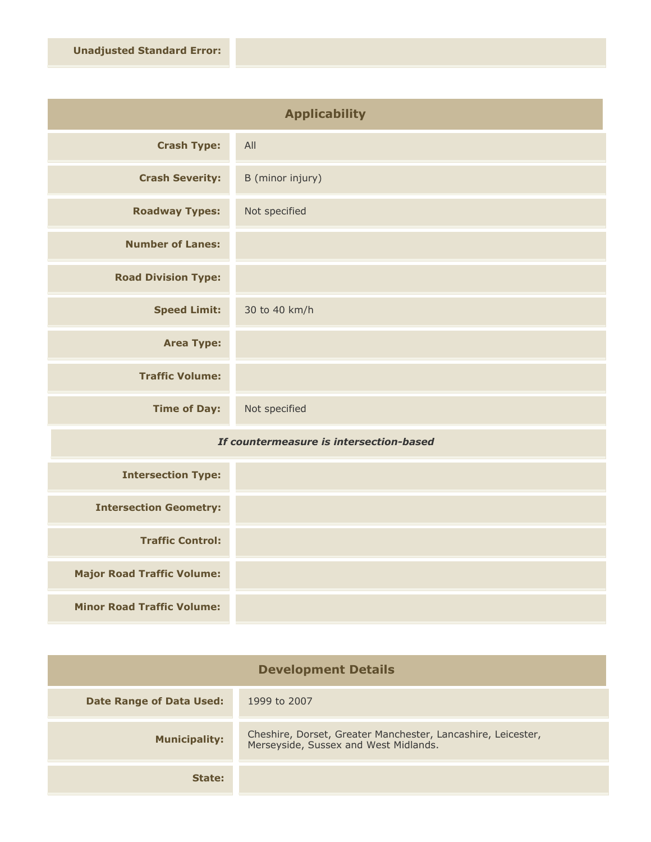| <b>Applicability</b>       |                  |
|----------------------------|------------------|
| <b>Crash Type:</b>         | All              |
| <b>Crash Severity:</b>     | B (minor injury) |
| <b>Roadway Types:</b>      | Not specified    |
| <b>Number of Lanes:</b>    |                  |
| <b>Road Division Type:</b> |                  |
| <b>Speed Limit:</b>        | 30 to 40 km/h    |
| <b>Area Type:</b>          |                  |
| <b>Traffic Volume:</b>     |                  |
| <b>Time of Day:</b>        | Not specified    |

## *If countermeasure is intersection-based*

| <b>Intersection Type:</b>         |  |
|-----------------------------------|--|
| <b>Intersection Geometry:</b>     |  |
| <b>Traffic Control:</b>           |  |
| <b>Major Road Traffic Volume:</b> |  |
| <b>Minor Road Traffic Volume:</b> |  |

| <b>Development Details</b>      |                                                                                                       |
|---------------------------------|-------------------------------------------------------------------------------------------------------|
| <b>Date Range of Data Used:</b> | 1999 to 2007                                                                                          |
| <b>Municipality:</b>            | Cheshire, Dorset, Greater Manchester, Lancashire, Leicester,<br>Merseyside, Sussex and West Midlands. |
| State:                          |                                                                                                       |